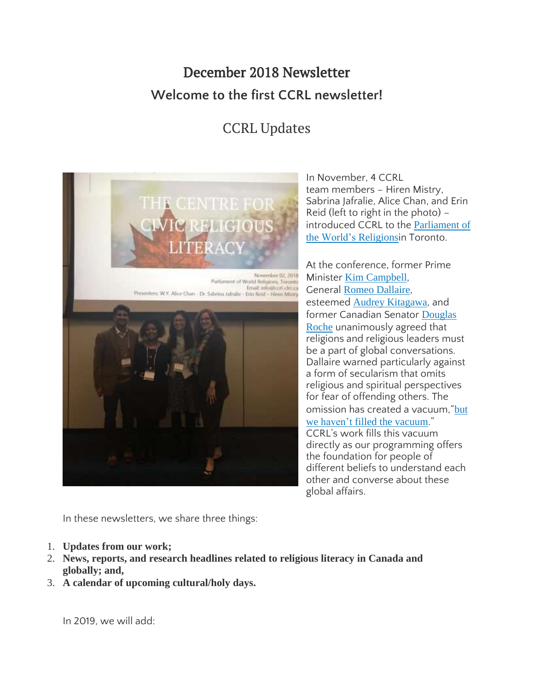# December 2018 Newsletter **Welcome to the first CCRL newsletter!**

# CCRL Updates



In November, 4 CCRL team members – Hiren Mistry, Sabrina Jafralie, Alice Chan, and Erin Reid (left to right in the photo) – introduced CCRL to the [Parliament](https://www.parliamentofreligions.org/) of the World's [Religions](https://www.parliamentofreligions.org/)in Toronto.

At the conference, former Prime Minister Kim [Campbell](http://www.kimcampbell.com/), General Romeo [Dallaire](https://www.romeodallaire.com/), esteemed Audrey [Kitagawa](https://www.parliamentofreligions.org/users/ms-audrey-kitagawa), and former Canadian Senator [Douglas](http://roche.apirg.org/public_html/index.html) [Roche](http://roche.apirg.org/public_html/index.html) unanimously agreed that religions and religious leaders must be a part of global conversations. Dallaire warned particularly against a form of secularism that omits religious and spiritual perspectives for fear of offending others. The omission has created a vacuum, "[but](https://www.winnipegfreepress.com/arts-and-life/life/faith/world-issues-need-input-from-religion-former-leaders-499964861.html) we haven't filled the [vacuum](https://www.winnipegfreepress.com/arts-and-life/life/faith/world-issues-need-input-from-religion-former-leaders-499964861.html)." CCRL's work fills this vacuum directly as our programming offers the foundation for people of different beliefs to understand each other and converse about these global affairs.

In these newsletters, we share three things:

- 1. **Updates from our work;**
- 2. **News, reports, and research headlines related to religious literacy in Canada and globally; and,**
- 3. **A calendar of upcoming cultural/holy days.**

In 2019, we will add: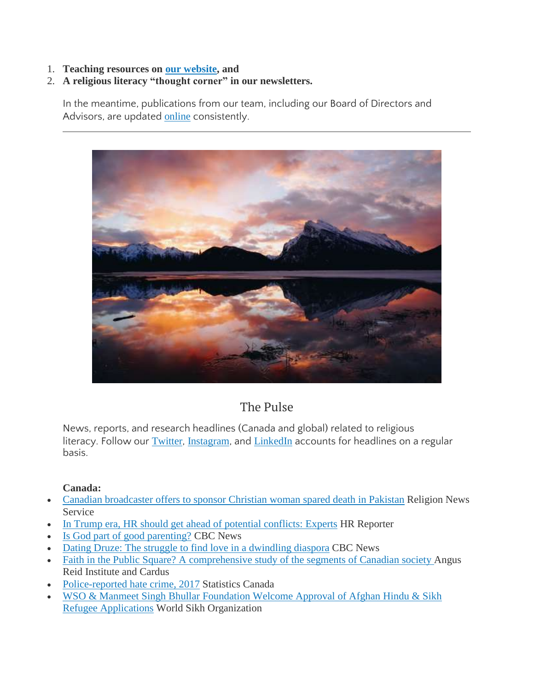1. **Teaching resources on our [website,](http://www.ccrl-clrc.ca/) and**

# 2. **A religious literacy "thought corner" in our newsletters.**

In the meantime, publications from our team, including our Board of Directors and Advisors, are updated [online](https://ccrl-clrc.ca/work/our-research-publications/) consistently.



# The Pulse

News, reports, and research headlines (Canada and global) related to religious literacy. Follow our [Twitter](https://twitter.com/CcrlClrc), [Instagram](https://www.instagram.com/ccrl.clrc/), and [LinkedIn](https://www.linkedin.com/company/ccrl-clrc/) accounts for headlines on a regular basis.

## **Canada:**

- Canadian [broadcaster](https://religionnews.com/2018/11/06/canadian-religious-broadcaster-offers-to-sponsor-pakistani-christian-woman-spared-death-sentence-asia-bibi/) offers to sponsor Christian woman spared death in Pakistan Religion News Service
- In Trump era, HR should get ahead of potential [conflicts:](https://www.hrreporter.com/culture-and-engagement/38126-in-trump-era-hr-should-get-ahead-of-potential-conflicts-experts/) Experts HR Reporter
- Is God part of good [parenting?](https://www.cbc.ca/news/canada/british-columbia/is-god-part-of-good-parenting-1.4920936) CBC News
- Dating Druze: The struggle to find love in a [dwindling](https://www.cbc.ca/news/canada/druze-dating-diaspora-toronto-exclusion-1.4904888) diaspora CBC News
- Faith in the Public Square? A [comprehensive](http://angusreid.org/public-faith-debate/) study of the segments of Canadian society Angus Reid Institute and Cardus
- [Police-reported](https://www150.statcan.gc.ca/n1/daily-quotidien/181129/dq181129a-eng.htm) hate crime, 2017 Statistics Canada
- WSO & Manmeet Singh Bhullar [Foundation](http://www.worldsikh.org/wso_bhullar_family_foundation_welcome) Welcome Approval of Afghan Hindu & Sikh Refugee [Applications](http://www.worldsikh.org/wso_bhullar_family_foundation_welcome) World Sikh Organization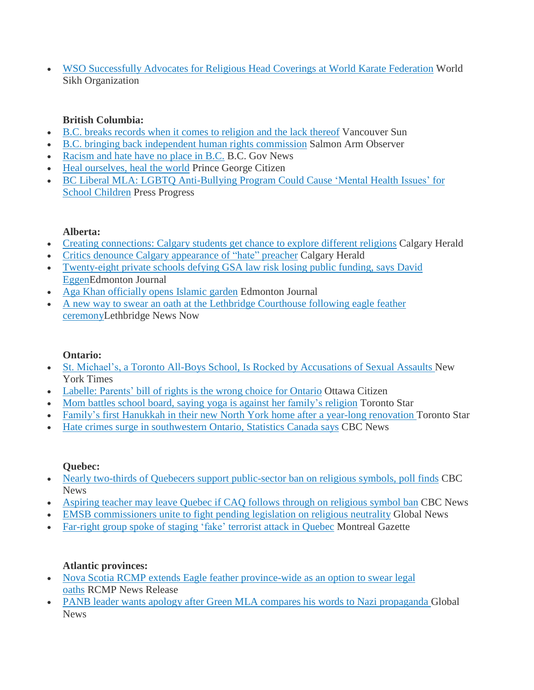WSO [Successfully](http://www.worldsikh.org/wso_successfully_advocates_for_religious_head_coverings_at_world_karate_federation) Advocates for Religious Head Coverings at World Karate Federation World Sikh Organization

# **British Columbia:**

- B.C. breaks records when it comes to [religion](https://vancouversun.com/news/staff-blogs/b-c-breaks-records-when-it-comes-to-religion-and-the-lack-thereof) and the lack thereof Vancouver Sun
- B.C. bringing back [independent](https://www.saobserver.net/news/b-c-bringing-back-independent-human-rights-commission/) human rights commission Salmon Arm Observer
- [Racism](https://news.gov.bc.ca/stories/racism-and-hate-have-no-place-in-bc) and hate have no place in B.C. B.C. Gov News
- Heal [ourselves,](https://www.princegeorgecitizen.com/opinion/columnists/heal-ourselves-heal-the-world-1.23508480) heal the world Prince George Citizen
- BC Liberal MLA: LGBTQ [Anti-Bullying](https://pressprogress.ca/bc-liberal-mla-lgbtq-anti-bullying-program-could-cause-mental-health-issues-for-school-children/) Program Could Cause 'Mental Health Issues' for School [Children](https://pressprogress.ca/bc-liberal-mla-lgbtq-anti-bullying-program-could-cause-mental-health-issues-for-school-children/) Press Progress

#### **Alberta:**

- Creating [connections:](https://calgaryherald.com/life/relationships/creating-connections-calgary-students-get-chance-to-explore-different-religions) Calgary students get chance to explore different religions Calgary Herald
- Critics denounce Calgary [appearance](https://calgaryherald.com/news/local-news/critics-denounce-calgary-appearance-of-hate-preacher) of "hate" preacher Calgary Herald
- [Twenty-eight](https://edmontonjournal.com/news/politics/alberta-government-cracks-down-on-private-schools-defying-gsa-law) private schools defying GSA law risk losing public funding, says David [EggenE](https://edmontonjournal.com/news/politics/alberta-government-cracks-down-on-private-schools-defying-gsa-law)dmonton Journal
- Aga Khan [officially](https://edmontonjournal.com/news/local-news/aga-khan-officially-opens-islamic-garden) opens Islamic garden Edmonton Journal
- A new way to swear an oath at the Lethbridge [Courthouse](https://lethbridgenewsnow.com/article/625616/new-way-swear-oath-lethbridge-courthouse-following-eagle-feather-ceremony) following eagle feather [ceremonyL](https://lethbridgenewsnow.com/article/625616/new-way-swear-oath-lethbridge-courthouse-following-eagle-feather-ceremony)ethbridge News Now

## **Ontario:**

- St. Michael's, a Toronto All-Boys School, Is Rocked by [Accusations](https://www.nytimes.com/2018/11/23/world/canada/toronto-st-michaels-college-school-hazing-sexual-assault.html) of Sexual Assaults New York Times
- Labelle: [Parents'](https://ottawacitizen.com/opinion/columnists/labelle-parents-bill-of-rights-is-the-wrong-choice-for-ontario) bill of rights is the wrong choice for Ontario Ottawa Citizen
- Mom battles school board, saying yoga is against her [family's](https://www.thestar.com/news/gta/2018/11/28/mom-battles-school-board-saying-yoga-against-her-religion.html) religion Toronto Star
- Family's first Hanukkah in their new North York home after a year-long [renovation](https://www.thestar.com/life/homes/2018/11/30/familys-first-hanukkah-in-their-big-new-north-york-home-after-a-year-long-renovation.html?utm_source=Twitter&utm_medium=SocialMedia&utm_campaign=1000am&utm_campaign_id=Feature&utm_content=FamilysFirstHannukahNorthYork) Toronto Star
- Hate crimes surge in [southwestern](https://www.cbc.ca/news/canada/london/london-ontario-hate-crimes-statistics-canada-2017-1.4925488) Ontario, Statistics Canada says CBC News

#### **Quebec:**

- Nearly two-thirds of Quebecers support [public-sector](https://www.cbc.ca/news/canada/montreal/public-religious-symbols-quebec-poll-1.4919997?cmp=rss) ban on religious symbols, poll finds CBC News
- [Aspiring](https://www.cbc.ca/news/canada/montreal/quebec-religious-symbols-teacher-crop-poll-1.4921276?cmp=rss) teacher may leave Quebec if CAQ follows through on religious symbol ban CBC News
- EMSB [commissioners](https://globalnews.ca/news/4712894/emsb-commissioners-unite-to-fight-pending-legislation-on-religious-neutrality/) unite to fight pending legislation on religious neutrality Global News
- [Far-right](https://montrealgazette.com/news/local-news/far-right-group-spoke-of-staging-fake-terrorist-attack-in-quebec) group spoke of staging 'fake' terrorist attack in Quebec Montreal Gazette

## **Atlantic provinces:**

- Nova Scotia RCMP extends Eagle feather [province-wide](http://www.rcmp.gc.ca/en/news/2018/nova-scotia-rcmp-extends-eagle-feather-province-wide-an-option-swear-legal-oaths?fe=&) as an option to swear legal [oaths](http://www.rcmp.gc.ca/en/news/2018/nova-scotia-rcmp-extends-eagle-feather-province-wide-an-option-swear-legal-oaths?fe=&) RCMP News Release
- PANB leader wants apology after Green MLA compares his words to Nazi [propaganda](https://globalnews.ca/news/4702334/kevin-arseneau-nazi-propaganda-comparison/) Global **News**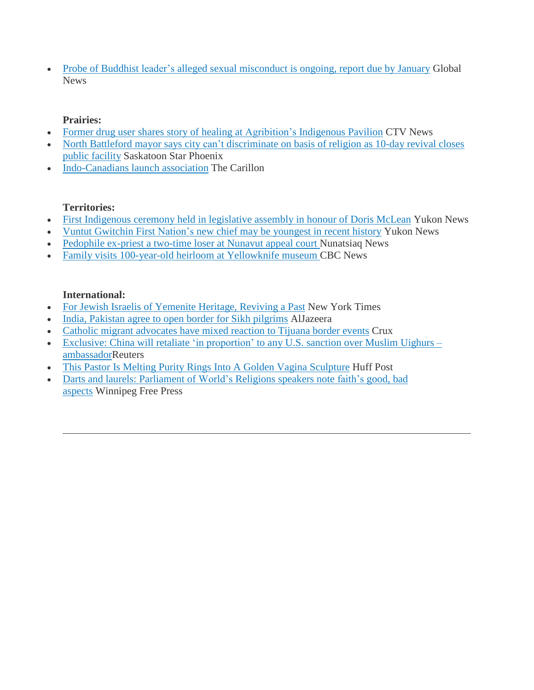• Probe of Buddhist leader's alleged sexual [misconduct](https://globalnews.ca/news/4698880/probe-of-buddhist-leaders/) is ongoing, report due by January Global News

# **Prairies:**

- Former drug user shares story of healing at [Agribition's](https://regina.ctvnews.ca/former-drug-user-shares-story-of-healing-at-agribition-s-indigenous-pavilion-1.4191421) Indigenous Pavilion CTV News
- North Battleford mayor says city can't [discriminate](https://thestarphoenix.com/news/saskatchewan/north-battleford-mayor-says-city-cant-discriminate-on-basis-of-religion-as-10-day-revival-closes-public-facility) on basis of religion as 10-day revival closes public [facility](https://thestarphoenix.com/news/saskatchewan/north-battleford-mayor-says-city-cant-discriminate-on-basis-of-religion-as-10-day-revival-closes-public-facility) Saskatoon Star Phoenix
- [Indo-Canadians](https://www.thecarillon.com/local/Indo-Canadians-launch-association-499410101.html) launch association The Carillon

# **Territories:**

- First [Indigenous](https://www.yukon-news.com/news/first-indigenous-ceremony-held-in-legislative-assembly-in-honour-of-doris-mclean/) ceremony held in legislative assembly in honour of Doris McLean Yukon News
- Vuntut [Gwitchin](https://www.yukon-news.com/news/vuntut-gwitchin-first-nations-new-chief-may-be-youngest-in-recent-history/) First Nation's new chief may be youngest in recent history Yukon News
- [Pedophile](http://nunatsiaq.com/stories/article/65674pedophile_ex-priest_a_two-time_loser_at_nunavut_appeal_court/) ex-priest a two-time loser at Nunavut appeal court Nunatsiaq News
- Family visits [100-year-old](https://www.cbc.ca/news/canada/north/family-visits-100-year-old-heirloom-at-yellowknife-museum-1.4919161) heirloom at Yellowknife museum CBC News

## **International:**

- For Jewish Israelis of [Yemenite](https://www.nytimes.com/2018/11/17/style/bride-wedding-jewish-yemen.html) Heritage, Reviving a Past New York Times
- India, [Pakistan](https://www.aljazeera.com/news/2018/11/pakistan-india-break-ground-visa-free-kartarpur-corridor-181128111752755.html) agree to open border for Sikh pilgrims AlJazeera
- Catholic migrant [advocates](https://cruxnow.com/church-in-the-americas/2018/11/27/catholic-migrant-advocates-have-mixed-reaction-to-tijuana-border-events/) have mixed reaction to Tijuana border events Crux
- Exclusive: China will retaliate 'in [proportion'](https://uk.reuters.com/article/uk-usa-china-uighurs-exclusive/exclusive-china-will-retaliate-in-proportion-to-any-u-s-sanction-over-muslim-uighurs-ambassador-idUKKCN1NW2P2) to any U.S. sanction over Muslim Uighurs [ambassadorR](https://uk.reuters.com/article/uk-usa-china-uighurs-exclusive/exclusive-china-will-retaliate-in-proportion-to-any-u-s-sanction-over-muslim-uighurs-ambassador-idUKKCN1NW2P2)euters
- This Pastor Is Melting Purity Rings Into A Golden Vagina [Sculpture](https://www.huffingtonpost.ca/entry/nadia-bolz-weber-purity-ring-vagina-sculpture_us_5bfdac5ee4b0a46950dce000) Huff Post
- Darts and laurels: [Parliament](https://www.winnipegfreepress.com/arts-and-life/life/faith/darts-and-laurels-501167802.html) of World's Religions speakers note faith's good, bad [aspects](https://www.winnipegfreepress.com/arts-and-life/life/faith/darts-and-laurels-501167802.html) Winnipeg Free Press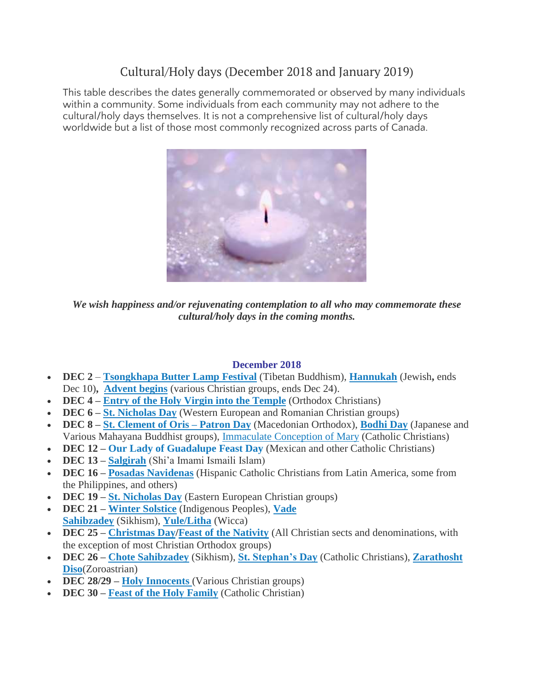# Cultural/Holy days (December 2018 and January 2019)

This table describes the dates generally commemorated or observed by many individuals within a community. Some individuals from each community may not adhere to the cultural/holy days themselves. It is not a comprehensive list of cultural/holy days worldwide but a list of those most commonly recognized across parts of Canada.



*We wish happiness and/or rejuvenating contemplation to all who may commemorate these cultural/holy days in the coming months.*

#### **December 2018**

- **DEC 2 [Tsongkhapa](https://www.tibettravel.org/tibetan-festivals/tsongkhapa-butter-lamp-festival.html) Butter Lamp Festival** (Tibetan Buddhism), **[Hannukah](https://www.thecanadianencyclopedia.ca/en/article/chanukah)** (Jewish**,** ends Dec 10)**, [Advent](https://www.timeanddate.com/holidays/canada/first-day-advent) begins** (various Christian groups, ends Dec 24).
- **DEC 4 – Entry of the Holy Virgin into the [Temple](https://oca.org/saints/lives/2018/11/21/103357-the-entry-of-the-most-holy-mother-of-god-into-the-temple)** (Orthodox Christians)
- **DEC 6 – St. [Nicholas](https://www.britannica.com/topic/Saint-Nicholas-Day) Day** (Western European and Romanian Christian groups)
- **DEC 8 – St. [Clement](https://anydayguide.com/calendar/2730) of Oris – Patron Day** (Macedonian Orthodox), **[Bodhi](https://www.thoughtco.com/bodhi-day-449913) Day** (Japanese and Various Mahayana Buddhist groups), [Immaculate](https://www.timeanddate.com/holidays/canada/immaculate-conception) Conception of Mary (Catholic Christians)
- **DEC 12 – Our Lady of [Guadalupe](https://www.iexplore.com/experiences/festivals-events/dia-de-la-virgen-de-guadalupe-important-mexican-celebration) Feast Day** (Mexican and other Catholic Christians)
- **DEC 13 – [Salgirah](https://the.ismaili/salgirah)** (Shi'a Imami Ismaili Islam)
- **DEC 16 – Posadas [Navidenas](https://www.readthespirit.com/religious-holidays-festivals/tag/posadas-navidenas/)** (Hispanic Catholic Christians from Latin America, some from the Philippines, and others)
- **DEC 19 – St. [Nicholas](https://www.britannica.com/topic/Saint-Nicholas-Day) Day** (Eastern European Christian groups)
- **DEC 21 – Winter [Solstice](https://saultonline.com/2017/12/the-significance-of-the-winter-solstice-to-the-missanabie-cree-first-nation/)** (Indigenous Peoples), **[Vade](http://www.sikhismguide.org/sahibzadey.php) [Sahibzadey](http://www.sikhismguide.org/sahibzadey.php)** (Sikhism), **[Yule/Litha](https://www.thoughtco.com/all-about-yule-2562972)** (Wicca)
- **DEC 25 – [Christmas](https://www.thecanadianencyclopedia.ca/en/article/christmas-in-canada) Day/Feast of the [Nativity](http://www.antiochianarch.org.au/Nativity.aspx)** (All Christian sects and denominations, with the exception of most Christian Orthodox groups)
- **DEC 26 – Chote [Sahibzadey](http://www.sikhismguide.org/sahibzadey.php)** (Sikhism), **St. [Stephan's](https://www.thoughtco.com/saint-stephen-542519) Day** (Catholic Christians), **[Zarathosht](http://calendar.suffolk.edu/EventList.aspx?fromdate=12/26/2017&todate=12/26/2017&display=Day&type=public&eventidn=18116&view=EventDetails&information_id=37718) [Diso](http://calendar.suffolk.edu/EventList.aspx?fromdate=12/26/2017&todate=12/26/2017&display=Day&type=public&eventidn=18116&view=EventDetails&information_id=37718)**(Zoroastrian)
- **DEC 28/29 – Holy [Innocents](https://www.britannica.com/topic/Feast-of-the-Holy-Innocents)** (Various Christian groups)
- **DEC 30 – Feast of the Holy [Family](https://www.britannica.com/topic/Feast-of-the-Holy-Family)** (Catholic Christian)